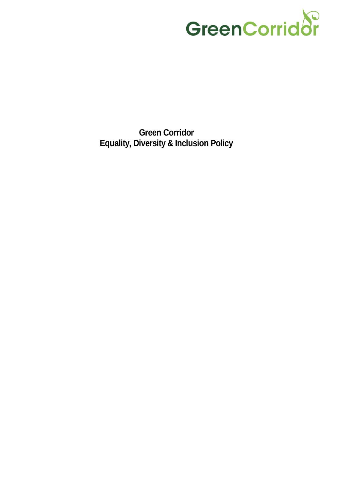

**Green Corridor Equality, Diversity & Inclusion Policy**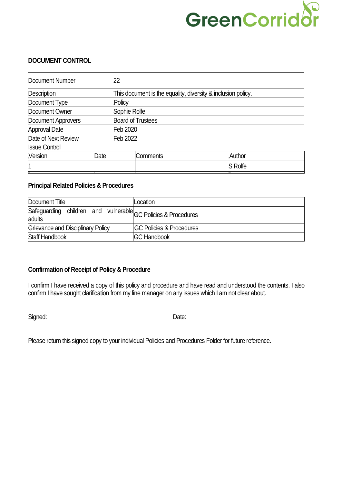### $\sum$ GreenCorrido

### **DOCUMENT CONTROL**

| Document Number      |      | 22                                                           |                 |  |                |  |
|----------------------|------|--------------------------------------------------------------|-----------------|--|----------------|--|
| Description          |      | This document is the equality, diversity & inclusion policy. |                 |  |                |  |
| Document Type        |      | Policy                                                       |                 |  |                |  |
| Document Owner       |      | Sophie Rolfe                                                 |                 |  |                |  |
| Document Approvers   |      | <b>Board of Trustees</b>                                     |                 |  |                |  |
| Approval Date        |      | Feb 2020                                                     |                 |  |                |  |
| Date of Next Review  |      |                                                              | Feb 2022        |  |                |  |
| <b>Issue Control</b> |      |                                                              |                 |  |                |  |
| Version              | Date |                                                              | <b>Comments</b> |  | Author         |  |
|                      |      |                                                              |                 |  | <b>S</b> Rolfe |  |

### **Principal Related Policies & Procedures**

| Document Title                                                          | Location                             |
|-------------------------------------------------------------------------|--------------------------------------|
| Safeguarding children and vulnerable GC Policies & Procedures<br>adults |                                      |
| Grievance and Disciplinary Policy                                       | <b>IGC Policies &amp; Procedures</b> |
| <b>Staff Handbook</b>                                                   | <b>IGC Handbook</b>                  |

### **Confirmation of Receipt of Policy & Procedure**

I confirm I have received a copy of this policy and procedure and have read and understood the contents. I also confirm I have sought clarification from my line manager on any issues which I am not clear about.

Signed: Date:

Please return this signed copy to your individual Policies and Procedures Folder for future reference.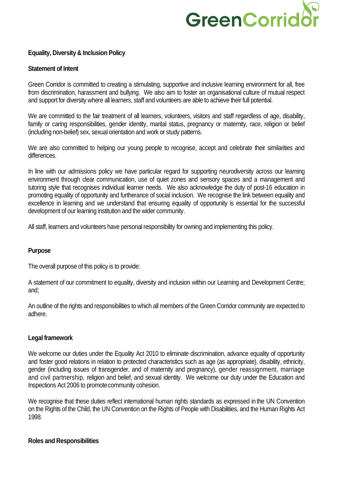### GreenCorrido

### **Equality, Diversity & Inclusion Policy**

### **Statement of Intent**

Green Corridor is committed to creating a stimulating, supportive and inclusive learning environment for all, free from discrimination, harassment and bullying. We also aim to foster an organisational culture of mutual respect and support for diversity where all learners, staff and volunteers are able to achieve their full potential.

We are committed to the fair treatment of all learners, volunteers, visitors and staff regardless of age, disability, family or caring responsibilities, gender identity, marital status, pregnancy or maternity, race, religion or belief (including non-belief) sex, sexual orientation and work or study patterns.

We are also committed to helping our young people to recognise, accept and celebrate their similarities and differences.

In line with our admissions policy we have particular regard for supporting neurodiversity across our learning environment through clear communication, use of quiet zones and sensory spaces and a management and tutoring style that recognises individual learner needs. We also acknowledge the duty of post-16 education in promoting equality of opportunity and furtherance of social inclusion. We recognise the link between equality and excellence in learning and we understand that ensuring equality of opportunity is essential for the successful development of our learning institution and the wider community.

All staff, learners and volunteers have personal responsibility for owning and implementing this policy.

### **Purpose**

The overall purpose of this policy is to provide:

A statement of our commitment to equality, diversity and inclusion within our Learning and Development Centre; and;

An outline of the rights and responsibilities to which all members of the Green Corridor community are expected to adhere.

### **Legal framework**

We welcome our duties under the Equality Act 2010 to eliminate discrimination, advance equality of opportunity and foster good relations in relation to protected characteristics such as age (as appropriate), disability, ethnicity, gender (including issues of transgender, and of maternity and pregnancy), gender reassignment, marriage and civil partnership, religion and belief, and sexual identity. We welcome our duty under the Education and Inspections Act 2006 to promotecommunity cohesion.

We recognise that these duties reflect international human rights standards as expressed in the UN Convention on the Rights of the Child, the UN Convention on the Rights of People with Disabilities, and the Human Rights Act 1998.

### **Roles and Responsibilities**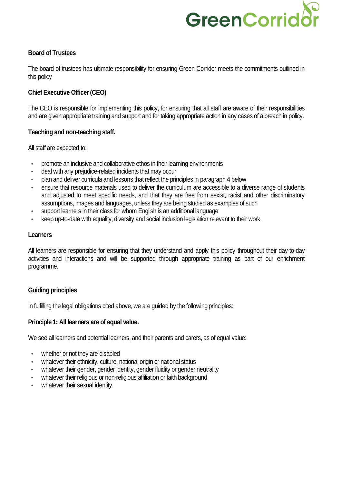### GreenCorrid

### **Board of Trustees**

The board of trustees has ultimate responsibility for ensuring Green Corridor meets the commitments outlined in this policy

### **Chief Executive Officer (CEO)**

The CEO is responsible for implementing this policy, for ensuring that all staff are aware of their responsibilities and are given appropriate training and support and for taking appropriate action in any cases of a breach in policy.

### **Teaching and non-teaching staff.**

All staff are expected to:

- promote an inclusive and collaborative ethos in their learning environments
- deal with any prejudice-related incidents that may occur
- plan and deliver curricula and lessons that reflect the principles in paragraph 4 below
- ensure that resource materials used to deliver the curriculum are accessible to a diverse range of students and adjusted to meet specific needs, and that they are free from sexist, racist and other discriminatory assumptions, images and languages, unless they are being studied as examples of such
- support learners in their class for whom English is an additional language
- keep up-to-date with equality, diversity and social inclusion legislation relevant to their work.

### **Learners**

All learners are responsible for ensuring that they understand and apply this policy throughout their day-to-day activities and interactions and will be supported through appropriate training as part of our enrichment programme.

### **Guiding principles**

In fulfilling the legal obligations cited above, we are guided by the following principles:

### **Principle 1: All learners are of equal value.**

We see all learners and potential learners, and their parents and carers, as of equal value:

- whether or not they are disabled
- whatever their ethnicity, culture, national origin or national status
- whatever their gender, gender identity, gender fluidity or gender neutrality
- whatever their religious or non-religious affiliation or faith background
- whatever their sexual identity.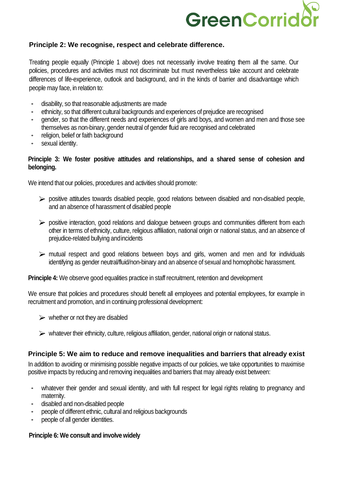# GreenCorrid

### **Principle 2: We recognise, respect and celebrate difference.**

Treating people equally (Principle 1 above) does not necessarily involve treating them all the same. Our policies, procedures and activities must not discriminate but must nevertheless take account and celebrate differences of life-experience, outlook and background, and in the kinds of barrier and disadvantage which people may face, in relation to:

- disability, so that reasonable adjustments are made
- ethnicity, so that different cultural backgrounds and experiences of prejudice are recognised
- gender, so that the different needs and experiences of girls and boys, and women and men and those see themselves as non-binary, gender neutral of gender fluid are recognised and celebrated
- religion, belief or faith background
- sexual identity.

### **Principle 3: We foster positive attitudes and relationships, and a shared sense of cohesion and belonging.**

We intend that our policies, procedures and activities should promote:

- $\triangleright$  positive attitudes towards disabled people, good relations between disabled and non-disabled people, and an absence of harassment of disabled people
- $\triangleright$  positive interaction, good relations and dialogue between groups and communities different from each other in terms of ethnicity, culture, religious affiliation, national origin or national status, and an absence of prejudice-related bullying andincidents
- $\triangleright$  mutual respect and good relations between boys and girls, women and men and for individuals identifying as gender neutral/fluid/non-binary and an absence of sexual and homophobic harassment.

**Principle 4:** We observe good equalities practice in staff recruitment, retention and development

We ensure that policies and procedures should benefit all employees and potential employees, for example in recruitment and promotion, and in continuing professional development:

- $\triangleright$  whether or not they are disabled
- $\triangleright$  whatever their ethnicity, culture, religious affiliation, gender, national origin or national status.

### **Principle 5: We aim to reduce and remove inequalities and barriers that already exist**

In addition to avoiding or minimising possible negative impacts of our policies, we take opportunities to maximise positive impacts by reducing and removing inequalities and barriers that may already exist between:

- whatever their gender and sexual identity, and with full respect for legal rights relating to pregnancy and maternity.
- disabled and non-disabled people
- people of different ethnic, cultural and religious backgrounds
- people of all gender identities.

### **Principle 6: We consult and involve widely**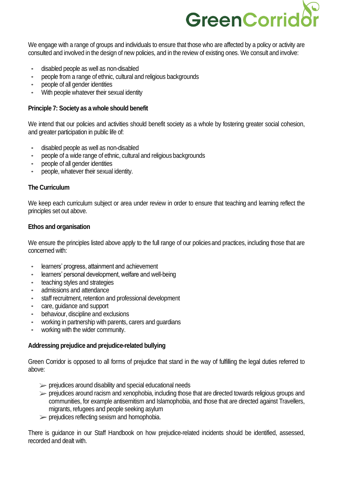# GreenCorrid

We engage with a range of groups and individuals to ensure that those who are affected by a policy or activity are consulted and involved in the design of new policies, and in the review of existing ones. We consult and involve:

- disabled people as well as non-disabled
- people from a range of ethnic, cultural and religious backgrounds
- people of all gender identities
- With people whatever their sexual identity

### **Principle 7: Society as a whole should benefit**

We intend that our policies and activities should benefit society as a whole by fostering greater social cohesion, and greater participation in public life of:

- disabled people as well as non-disabled
- people of a wide range of ethnic, cultural and religious backgrounds
- people of all gender identities
- people, whatever their sexual identity.

### **The Curriculum**

We keep each curriculum subject or area under review in order to ensure that teaching and learning reflect the principles set out above.

### **Ethos and organisation**

We ensure the principles listed above apply to the full range of our policies and practices, including those that are concerned with:

- learners' progress, attainment and achievement
- learners' personal development, welfare and well-being
- teaching styles and strategies
- admissions and attendance
- staff recruitment, retention and professional development
- care, guidance and support
- behaviour, discipline and exclusions
- working in partnership with parents, carers and guardians
- working with the wider community.

### **Addressing prejudice and prejudice-related bullying**

Green Corridor is opposed to all forms of prejudice that stand in the way of fulfilling the legal duties referred to above:

- $\triangleright$  prejudices around disability and special educational needs
- $\triangleright$  prejudices around racism and xenophobia, including those that are directed towards religious groups and communities, for example antisemitism and Islamophobia, and those that are directed against Travellers, migrants, refugees and people seeking asylum
- $\triangleright$  prejudices reflecting sexism and homophobia.

There is guidance in our Staff Handbook on how prejudice-related incidents should be identified, assessed, recorded and dealt with.